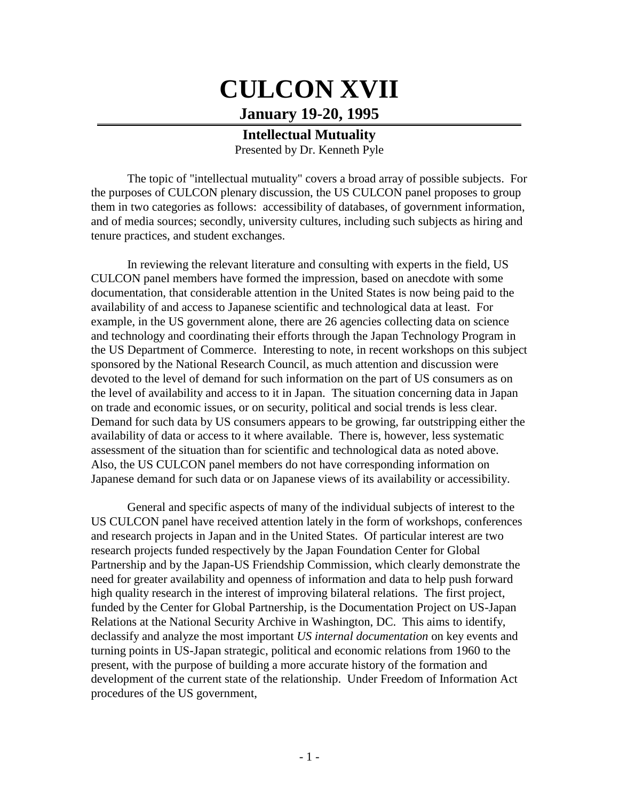## **CULCON XVII January 19-20, 1995**

**Intellectual Mutuality** Presented by Dr. Kenneth Pyle

The topic of "intellectual mutuality" covers a broad array of possible subjects. For the purposes of CULCON plenary discussion, the US CULCON panel proposes to group them in two categories as follows: accessibility of databases, of government information, and of media sources; secondly, university cultures, including such subjects as hiring and tenure practices, and student exchanges.

In reviewing the relevant literature and consulting with experts in the field, US CULCON panel members have formed the impression, based on anecdote with some documentation, that considerable attention in the United States is now being paid to the availability of and access to Japanese scientific and technological data at least. For example, in the US government alone, there are 26 agencies collecting data on science and technology and coordinating their efforts through the Japan Technology Program in the US Department of Commerce. Interesting to note, in recent workshops on this subject sponsored by the National Research Council, as much attention and discussion were devoted to the level of demand for such information on the part of US consumers as on the level of availability and access to it in Japan. The situation concerning data in Japan on trade and economic issues, or on security, political and social trends is less clear. Demand for such data by US consumers appears to be growing, far outstripping either the availability of data or access to it where available. There is, however, less systematic assessment of the situation than for scientific and technological data as noted above. Also, the US CULCON panel members do not have corresponding information on Japanese demand for such data or on Japanese views of its availability or accessibility.

General and specific aspects of many of the individual subjects of interest to the US CULCON panel have received attention lately in the form of workshops, conferences and research projects in Japan and in the United States. Of particular interest are two research projects funded respectively by the Japan Foundation Center for Global Partnership and by the Japan-US Friendship Commission, which clearly demonstrate the need for greater availability and openness of information and data to help push forward high quality research in the interest of improving bilateral relations. The first project, funded by the Center for Global Partnership, is the Documentation Project on US-Japan Relations at the National Security Archive in Washington, DC. This aims to identify, declassify and analyze the most important *US internal documentation* on key events and turning points in US-Japan strategic, political and economic relations from 1960 to the present, with the purpose of building a more accurate history of the formation and development of the current state of the relationship. Under Freedom of Information Act procedures of the US government,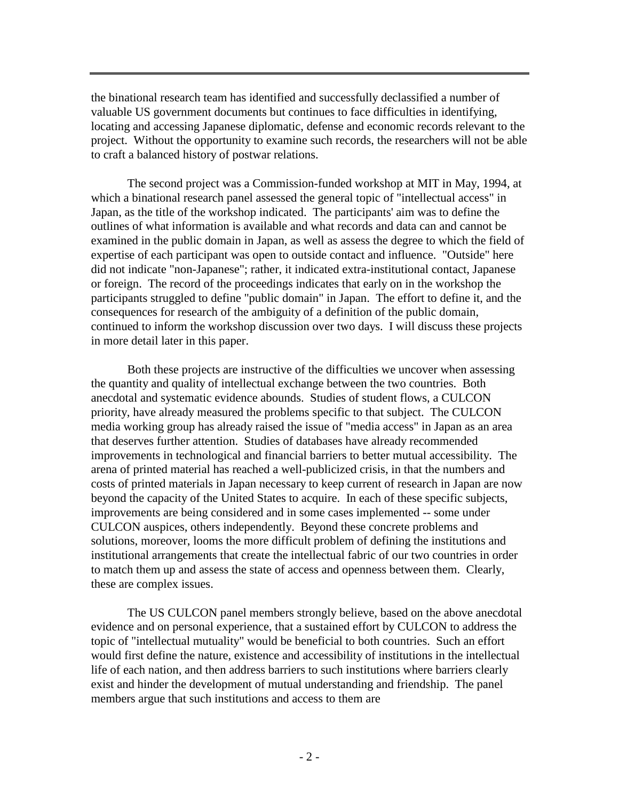the binational research team has identified and successfully declassified a number of valuable US government documents but continues to face difficulties in identifying, locating and accessing Japanese diplomatic, defense and economic records relevant to the project. Without the opportunity to examine such records, the researchers will not be able to craft a balanced history of postwar relations.

The second project was a Commission-funded workshop at MIT in May, 1994, at which a binational research panel assessed the general topic of "intellectual access" in Japan, as the title of the workshop indicated. The participants' aim was to define the outlines of what information is available and what records and data can and cannot be examined in the public domain in Japan, as well as assess the degree to which the field of expertise of each participant was open to outside contact and influence. "Outside" here did not indicate "non-Japanese"; rather, it indicated extra-institutional contact, Japanese or foreign. The record of the proceedings indicates that early on in the workshop the participants struggled to define "public domain" in Japan. The effort to define it, and the consequences for research of the ambiguity of a definition of the public domain, continued to inform the workshop discussion over two days. I will discuss these projects in more detail later in this paper.

Both these projects are instructive of the difficulties we uncover when assessing the quantity and quality of intellectual exchange between the two countries. Both anecdotal and systematic evidence abounds. Studies of student flows, a CULCON priority, have already measured the problems specific to that subject. The CULCON media working group has already raised the issue of "media access" in Japan as an area that deserves further attention. Studies of databases have already recommended improvements in technological and financial barriers to better mutual accessibility. The arena of printed material has reached a well-publicized crisis, in that the numbers and costs of printed materials in Japan necessary to keep current of research in Japan are now beyond the capacity of the United States to acquire. In each of these specific subjects, improvements are being considered and in some cases implemented -- some under CULCON auspices, others independently. Beyond these concrete problems and solutions, moreover, looms the more difficult problem of defining the institutions and institutional arrangements that create the intellectual fabric of our two countries in order to match them up and assess the state of access and openness between them. Clearly, these are complex issues.

The US CULCON panel members strongly believe, based on the above anecdotal evidence and on personal experience, that a sustained effort by CULCON to address the topic of "intellectual mutuality" would be beneficial to both countries. Such an effort would first define the nature, existence and accessibility of institutions in the intellectual life of each nation, and then address barriers to such institutions where barriers clearly exist and hinder the development of mutual understanding and friendship. The panel members argue that such institutions and access to them are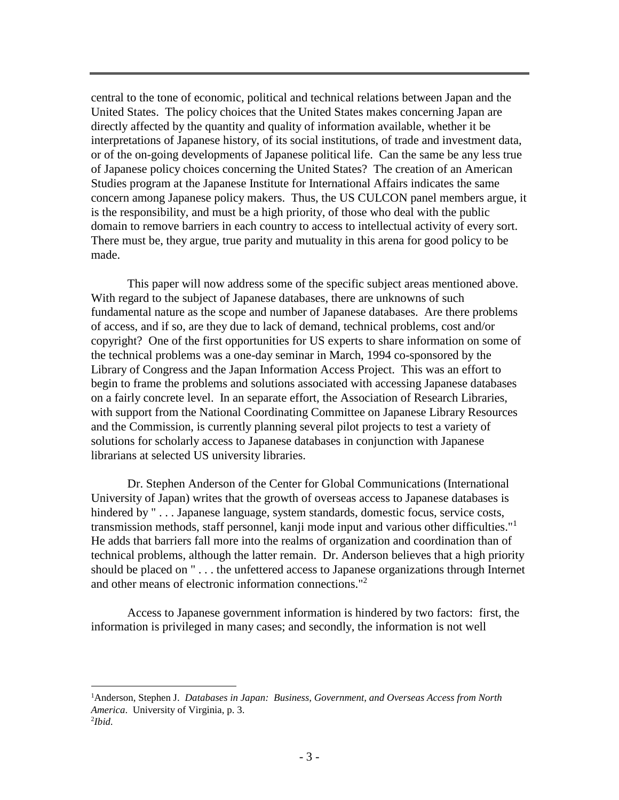central to the tone of economic, political and technical relations between Japan and the United States. The policy choices that the United States makes concerning Japan are directly affected by the quantity and quality of information available, whether it be interpretations of Japanese history, of its social institutions, of trade and investment data, or of the on-going developments of Japanese political life. Can the same be any less true of Japanese policy choices concerning the United States? The creation of an American Studies program at the Japanese Institute for International Affairs indicates the same concern among Japanese policy makers. Thus, the US CULCON panel members argue, it is the responsibility, and must be a high priority, of those who deal with the public domain to remove barriers in each country to access to intellectual activity of every sort. There must be, they argue, true parity and mutuality in this arena for good policy to be made.

This paper will now address some of the specific subject areas mentioned above. With regard to the subject of Japanese databases, there are unknowns of such fundamental nature as the scope and number of Japanese databases. Are there problems of access, and if so, are they due to lack of demand, technical problems, cost and/or copyright? One of the first opportunities for US experts to share information on some of the technical problems was a one-day seminar in March, 1994 co-sponsored by the Library of Congress and the Japan Information Access Project. This was an effort to begin to frame the problems and solutions associated with accessing Japanese databases on a fairly concrete level. In an separate effort, the Association of Research Libraries, with support from the National Coordinating Committee on Japanese Library Resources and the Commission, is currently planning several pilot projects to test a variety of solutions for scholarly access to Japanese databases in conjunction with Japanese librarians at selected US university libraries.

Dr. Stephen Anderson of the Center for Global Communications (International University of Japan) writes that the growth of overseas access to Japanese databases is hindered by "... Japanese language, system standards, domestic focus, service costs, transmission methods, staff personnel, kanji mode input and various other difficulties."<sup>1</sup> He adds that barriers fall more into the realms of organization and coordination than of technical problems, although the latter remain. Dr. Anderson believes that a high priority should be placed on " . . . the unfettered access to Japanese organizations through Internet and other means of electronic information connections."<sup>2</sup>

Access to Japanese government information is hindered by two factors: first, the information is privileged in many cases; and secondly, the information is not well

 $\overline{a}$ 

<sup>1</sup>Anderson, Stephen J. *Databases in Japan: Business, Government, and Overseas Access from North America*. University of Virginia, p. 3. 2 *Ibid.*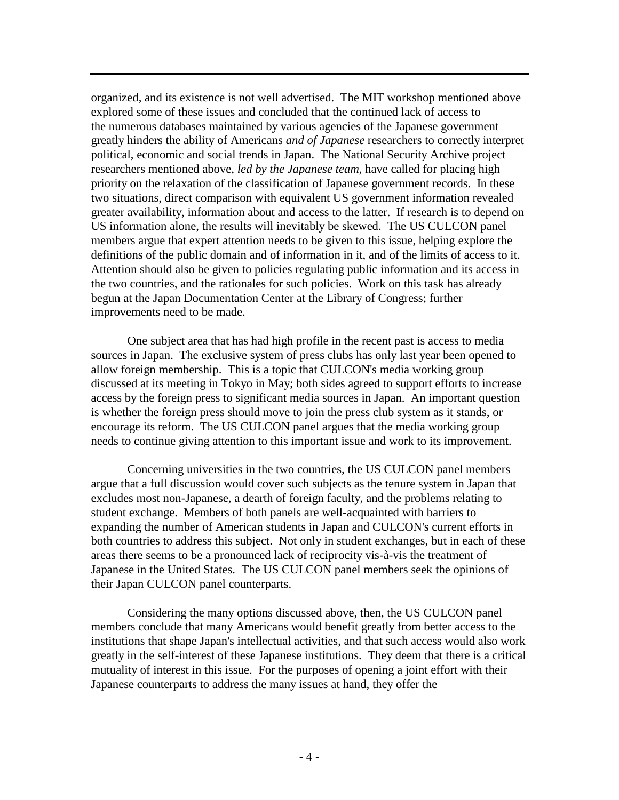organized, and its existence is not well advertised. The MIT workshop mentioned above explored some of these issues and concluded that the continued lack of access to the numerous databases maintained by various agencies of the Japanese government greatly hinders the ability of Americans *and of Japanese* researchers to correctly interpret political, economic and social trends in Japan. The National Security Archive project researchers mentioned above, *led by the Japanese team*, have called for placing high priority on the relaxation of the classification of Japanese government records. In these two situations, direct comparison with equivalent US government information revealed greater availability, information about and access to the latter. If research is to depend on US information alone, the results will inevitably be skewed. The US CULCON panel members argue that expert attention needs to be given to this issue, helping explore the definitions of the public domain and of information in it, and of the limits of access to it. Attention should also be given to policies regulating public information and its access in the two countries, and the rationales for such policies. Work on this task has already begun at the Japan Documentation Center at the Library of Congress; further improvements need to be made.

One subject area that has had high profile in the recent past is access to media sources in Japan. The exclusive system of press clubs has only last year been opened to allow foreign membership. This is a topic that CULCON's media working group discussed at its meeting in Tokyo in May; both sides agreed to support efforts to increase access by the foreign press to significant media sources in Japan. An important question is whether the foreign press should move to join the press club system as it stands, or encourage its reform. The US CULCON panel argues that the media working group needs to continue giving attention to this important issue and work to its improvement.

Concerning universities in the two countries, the US CULCON panel members argue that a full discussion would cover such subjects as the tenure system in Japan that excludes most non-Japanese, a dearth of foreign faculty, and the problems relating to student exchange. Members of both panels are well-acquainted with barriers to expanding the number of American students in Japan and CULCON's current efforts in both countries to address this subject. Not only in student exchanges, but in each of these areas there seems to be a pronounced lack of reciprocity vis-à-vis the treatment of Japanese in the United States. The US CULCON panel members seek the opinions of their Japan CULCON panel counterparts.

Considering the many options discussed above, then, the US CULCON panel members conclude that many Americans would benefit greatly from better access to the institutions that shape Japan's intellectual activities, and that such access would also work greatly in the self-interest of these Japanese institutions. They deem that there is a critical mutuality of interest in this issue. For the purposes of opening a joint effort with their Japanese counterparts to address the many issues at hand, they offer the